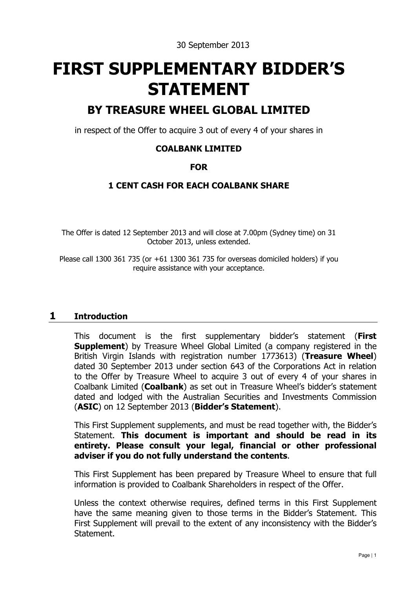30 September 2013

# **FIRST SUPPLEMENTARY BIDDER'S STATEMENT**

## **BY TREASURE WHEEL GLOBAL LIMITED**

in respect of the Offer to acquire 3 out of every 4 of your shares in

### **COALBANK LIMITED**

#### **FOR**

### **1 CENT CASH FOR EACH COALBANK SHARE**

The Offer is dated 12 September 2013 and will close at 7.00pm (Sydney time) on 31 October 2013, unless extended.

Please call 1300 361 735 (or +61 1300 361 735 for overseas domiciled holders) if you require assistance with your acceptance.

#### **1 Introduction**

This document is the first supplementary bidder's statement (**First Supplement**) by Treasure Wheel Global Limited (a company registered in the British Virgin Islands with registration number 1773613) (**Treasure Wheel**) dated 30 September 2013 under section 643 of the Corporations Act in relation to the Offer by Treasure Wheel to acquire 3 out of every 4 of your shares in Coalbank Limited (**Coalbank**) as set out in Treasure Wheel's bidder's statement dated and lodged with the Australian Securities and Investments Commission (**ASIC**) on 12 September 2013 (**Bidder's Statement**).

This First Supplement supplements, and must be read together with, the Bidder's Statement. **This document is important and should be read in its entirety. Please consult your legal, financial or other professional adviser if you do not fully understand the contents**.

This First Supplement has been prepared by Treasure Wheel to ensure that full information is provided to Coalbank Shareholders in respect of the Offer.

Unless the context otherwise requires, defined terms in this First Supplement have the same meaning given to those terms in the Bidder's Statement. This First Supplement will prevail to the extent of any inconsistency with the Bidder's Statement.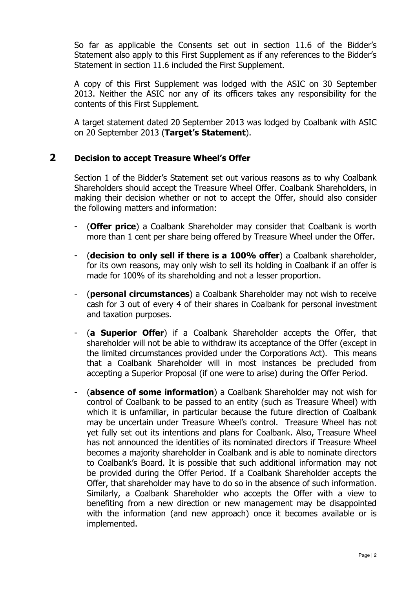So far as applicable the Consents set out in section 11.6 of the Bidder's Statement also apply to this First Supplement as if any references to the Bidder's Statement in section 11.6 included the First Supplement.

A copy of this First Supplement was lodged with the ASIC on 30 September 2013. Neither the ASIC nor any of its officers takes any responsibility for the contents of this First Supplement.

A target statement dated 20 September 2013 was lodged by Coalbank with ASIC on 20 September 2013 (**Target's Statement**).

#### **2 Decision to accept Treasure Wheel's Offer**

Section 1 of the Bidder's Statement set out various reasons as to why Coalbank Shareholders should accept the Treasure Wheel Offer. Coalbank Shareholders, in making their decision whether or not to accept the Offer, should also consider the following matters and information:

- (**Offer price**) a Coalbank Shareholder may consider that Coalbank is worth more than 1 cent per share being offered by Treasure Wheel under the Offer.
- (**decision to only sell if there is a 100% offer**) a Coalbank shareholder, for its own reasons, may only wish to sell its holding in Coalbank if an offer is made for 100% of its shareholding and not a lesser proportion.
- (**personal circumstances**) a Coalbank Shareholder may not wish to receive cash for 3 out of every 4 of their shares in Coalbank for personal investment and taxation purposes.
- (**a Superior Offer**) if a Coalbank Shareholder accepts the Offer, that shareholder will not be able to withdraw its acceptance of the Offer (except in the limited circumstances provided under the Corporations Act). This means that a Coalbank Shareholder will in most instances be precluded from accepting a Superior Proposal (if one were to arise) during the Offer Period.
- (**absence of some information**) a Coalbank Shareholder may not wish for control of Coalbank to be passed to an entity (such as Treasure Wheel) with which it is unfamiliar, in particular because the future direction of Coalbank may be uncertain under Treasure Wheel's control. Treasure Wheel has not yet fully set out its intentions and plans for Coalbank. Also, Treasure Wheel has not announced the identities of its nominated directors if Treasure Wheel becomes a majority shareholder in Coalbank and is able to nominate directors to Coalbank's Board. It is possible that such additional information may not be provided during the Offer Period. If a Coalbank Shareholder accepts the Offer, that shareholder may have to do so in the absence of such information. Similarly, a Coalbank Shareholder who accepts the Offer with a view to benefiting from a new direction or new management may be disappointed with the information (and new approach) once it becomes available or is implemented.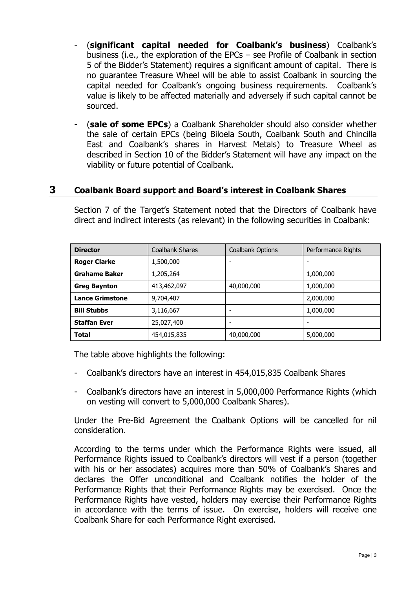- (**significant capital needed for Coalbank's business**) Coalbank's business (i.e., the exploration of the EPCs – see Profile of Coalbank in section 5 of the Bidder's Statement) requires a significant amount of capital. There is no guarantee Treasure Wheel will be able to assist Coalbank in sourcing the capital needed for Coalbank's ongoing business requirements. Coalbank's value is likely to be affected materially and adversely if such capital cannot be sourced.
- (sale of some EPCs) a Coalbank Shareholder should also consider whether the sale of certain EPCs (being Biloela South, Coalbank South and Chincilla East and Coalbank's shares in Harvest Metals) to Treasure Wheel as described in Section 10 of the Bidder's Statement will have any impact on the viability or future potential of Coalbank.

### **3 Coalbank Board support and Board's interest in Coalbank Shares**

| <b>Director</b>        | <b>Coalbank Shares</b> | Coalbank Options | Performance Rights |
|------------------------|------------------------|------------------|--------------------|
| <b>Roger Clarke</b>    | 1,500,000              | ٠                |                    |
| <b>Grahame Baker</b>   | 1,205,264              |                  | 1,000,000          |
| <b>Greg Baynton</b>    | 413,462,097            | 40,000,000       | 1,000,000          |
| <b>Lance Grimstone</b> | 9,704,407              |                  | 2,000,000          |
| <b>Bill Stubbs</b>     | 3,116,667              | ٠                | 1,000,000          |
| <b>Staffan Ever</b>    | 25,027,400             | -                |                    |
| <b>Total</b>           | 454,015,835            | 40,000,000       | 5,000,000          |

Section 7 of the Target's Statement noted that the Directors of Coalbank have direct and indirect interests (as relevant) in the following securities in Coalbank:

The table above highlights the following:

- Coalbank's directors have an interest in 454,015,835 Coalbank Shares
- Coalbank's directors have an interest in 5,000,000 Performance Rights (which on vesting will convert to 5,000,000 Coalbank Shares).

Under the Pre-Bid Agreement the Coalbank Options will be cancelled for nil consideration.

According to the terms under which the Performance Rights were issued, all Performance Rights issued to Coalbank's directors will vest if a person (together with his or her associates) acquires more than 50% of Coalbank's Shares and declares the Offer unconditional and Coalbank notifies the holder of the Performance Rights that their Performance Rights may be exercised. Once the Performance Rights have vested, holders may exercise their Performance Rights in accordance with the terms of issue. On exercise, holders will receive one Coalbank Share for each Performance Right exercised.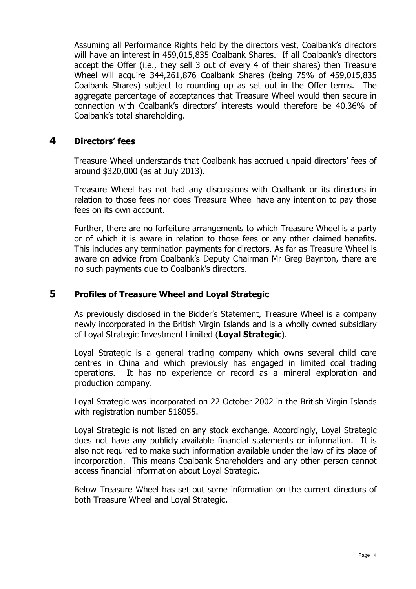Assuming all Performance Rights held by the directors vest, Coalbank's directors will have an interest in 459,015,835 Coalbank Shares. If all Coalbank's directors accept the Offer (i.e., they sell 3 out of every 4 of their shares) then Treasure Wheel will acquire 344,261,876 Coalbank Shares (being 75% of 459,015,835 Coalbank Shares) subject to rounding up as set out in the Offer terms. The aggregate percentage of acceptances that Treasure Wheel would then secure in connection with Coalbank's directors' interests would therefore be 40.36% of Coalbank's total shareholding.

#### **4 Directors' fees**

Treasure Wheel understands that Coalbank has accrued unpaid directors' fees of around \$320,000 (as at July 2013).

Treasure Wheel has not had any discussions with Coalbank or its directors in relation to those fees nor does Treasure Wheel have any intention to pay those fees on its own account.

Further, there are no forfeiture arrangements to which Treasure Wheel is a party or of which it is aware in relation to those fees or any other claimed benefits. This includes any termination payments for directors. As far as Treasure Wheel is aware on advice from Coalbank's Deputy Chairman Mr Greg Baynton, there are no such payments due to Coalbank's directors.

#### **5 Profiles of Treasure Wheel and Loyal Strategic**

As previously disclosed in the Bidder's Statement, Treasure Wheel is a company newly incorporated in the British Virgin Islands and is a wholly owned subsidiary of Loyal Strategic Investment Limited (**Loyal Strategic**).

Loyal Strategic is a general trading company which owns several child care centres in China and which previously has engaged in limited coal trading operations. It has no experience or record as a mineral exploration and production company.

Loyal Strategic was incorporated on 22 October 2002 in the British Virgin Islands with registration number 518055.

Loyal Strategic is not listed on any stock exchange. Accordingly, Loyal Strategic does not have any publicly available financial statements or information. It is also not required to make such information available under the law of its place of incorporation. This means Coalbank Shareholders and any other person cannot access financial information about Loyal Strategic.

Below Treasure Wheel has set out some information on the current directors of both Treasure Wheel and Loyal Strategic.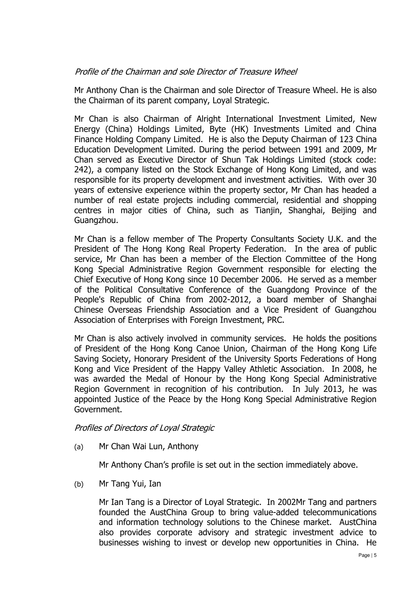#### Profile of the Chairman and sole Director of Treasure Wheel

Mr Anthony Chan is the Chairman and sole Director of Treasure Wheel. He is also the Chairman of its parent company, Loyal Strategic.

Mr Chan is also Chairman of Alright International Investment Limited, New Energy (China) Holdings Limited, Byte (HK) Investments Limited and China Finance Holding Company Limited. He is also the Deputy Chairman of 123 China Education Development Limited. During the period between 1991 and 2009, Mr Chan served as Executive Director of Shun Tak Holdings Limited (stock code: 242), a company listed on the Stock Exchange of Hong Kong Limited, and was responsible for its property development and investment activities. With over 30 years of extensive experience within the property sector, Mr Chan has headed a number of real estate projects including commercial, residential and shopping centres in major cities of China, such as Tianjin, Shanghai, Beijing and Guangzhou.

Mr Chan is a fellow member of The Property Consultants Society U.K. and the President of The Hong Kong Real Property Federation. In the area of public service, Mr Chan has been a member of the Election Committee of the Hong Kong Special Administrative Region Government responsible for electing the Chief Executive of Hong Kong since 10 December 2006. He served as a member of the Political Consultative Conference of the Guangdong Province of the People's Republic of China from 2002-2012, a board member of Shanghai Chinese Overseas Friendship Association and a Vice President of Guangzhou Association of Enterprises with Foreign Investment, PRC.

Mr Chan is also actively involved in community services. He holds the positions of President of the Hong Kong Canoe Union, Chairman of the Hong Kong Life Saving Society, Honorary President of the University Sports Federations of Hong Kong and Vice President of the Happy Valley Athletic Association. In 2008, he was awarded the Medal of Honour by the Hong Kong Special Administrative Region Government in recognition of his contribution. In July 2013, he was appointed Justice of the Peace by the Hong Kong Special Administrative Region Government.

#### Profiles of Directors of Loyal Strategic

(a) Mr Chan Wai Lun, Anthony

Mr Anthony Chan's profile is set out in the section immediately above.

(b) Mr Tang Yui, Ian

Mr Ian Tang is a Director of Loyal Strategic. In 2002Mr Tang and partners founded the AustChina Group to bring value-added telecommunications and information technology solutions to the Chinese market. AustChina also provides corporate advisory and strategic investment advice to businesses wishing to invest or develop new opportunities in China. He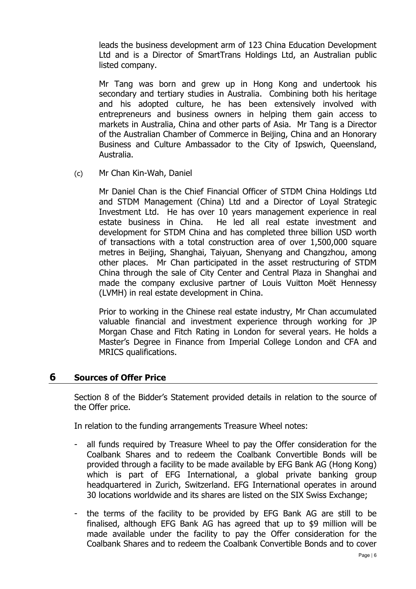leads the business development arm of 123 China Education Development Ltd and is a Director of SmartTrans Holdings Ltd, an Australian public listed company.

Mr Tang was born and grew up in Hong Kong and undertook his secondary and tertiary studies in Australia. Combining both his heritage and his adopted culture, he has been extensively involved with entrepreneurs and business owners in helping them gain access to markets in Australia, China and other parts of Asia. Mr Tang is a Director of the Australian Chamber of Commerce in Beijing, China and an Honorary Business and Culture Ambassador to the City of Ipswich, Queensland, Australia.

(c) Mr Chan Kin-Wah, Daniel

Mr Daniel Chan is the Chief Financial Officer of STDM China Holdings Ltd and STDM Management (China) Ltd and a Director of Loyal Strategic Investment Ltd. He has over 10 years management experience in real estate business in China. He led all real estate investment and development for STDM China and has completed three billion USD worth of transactions with a total construction area of over 1,500,000 square metres in Beijing, Shanghai, Taiyuan, Shenyang and Changzhou, among other places. Mr Chan participated in the asset restructuring of STDM China through the sale of City Center and Central Plaza in Shanghai and made the company exclusive partner of Louis Vuitton Moët Hennessy (LVMH) in real estate development in China.

Prior to working in the Chinese real estate industry, Mr Chan accumulated valuable financial and investment experience through working for JP Morgan Chase and Fitch Rating in London for several years. He holds a Master's Degree in Finance from Imperial College London and CFA and MRICS qualifications.

#### **6 Sources of Offer Price**

Section 8 of the Bidder's Statement provided details in relation to the source of the Offer price.

In relation to the funding arrangements Treasure Wheel notes:

- all funds required by Treasure Wheel to pay the Offer consideration for the Coalbank Shares and to redeem the Coalbank Convertible Bonds will be provided through a facility to be made available by EFG Bank AG (Hong Kong) which is part of EFG International, a global private banking group headquartered in Zurich, Switzerland. EFG International operates in around 30 locations worldwide and its shares are listed on the SIX Swiss Exchange;
- the terms of the facility to be provided by EFG Bank AG are still to be finalised, although EFG Bank AG has agreed that up to \$9 million will be made available under the facility to pay the Offer consideration for the Coalbank Shares and to redeem the Coalbank Convertible Bonds and to cover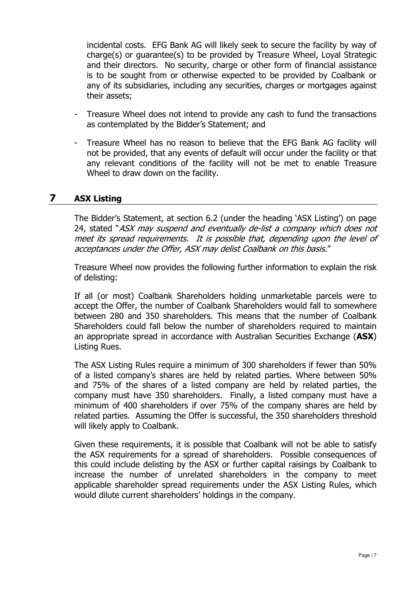incidental costs. EFG Bank AG will likely seek to secure the facility by way of charge(s) or guarantee(s) to be provided by Treasure Wheel, Loyal Strategic and their directors. No security, charge or other form of financial assistance is to be sought from or otherwise expected to be provided by Coalbank or any of its subsidiaries, including any securities, charges or mortgages against their assets;

- Treasure Wheel does not intend to provide any cash to fund the transactions as contemplated by the Bidder's Statement; and
- Treasure Wheel has no reason to believe that the EFG Bank AG facility will not be provided, that any events of default will occur under the facility or that any relevant conditions of the facility will not be met to enable Treasure Wheel to draw down on the facility.

#### **7 ASX Listing**

The Bidder's Statement, at section 6.2 (under the heading 'ASX Listing') on page 24, stated "ASX may suspend and eventually de-list a company which does not meet its spread requirements. It is possible that, depending upon the level of acceptances under the Offer, ASX may delist Coalbank on this basis."

Treasure Wheel now provides the following further information to explain the risk of delisting:

If all (or most) Coalbank Shareholders holding unmarketable parcels were to accept the Offer, the number of Coalbank Shareholders would fall to somewhere between 280 and 350 shareholders. This means that the number of Coalbank Shareholders could fall below the number of shareholders required to maintain an appropriate spread in accordance with Australian Securities Exchange (**ASX**) Listing Rues.

The ASX Listing Rules require a minimum of 300 shareholders if fewer than 50% of a listed company's shares are held by related parties. Where between 50% and 75% of the shares of a listed company are held by related parties, the company must have 350 shareholders. Finally, a listed company must have a minimum of 400 shareholders if over 75% of the company shares are held by related parties. Assuming the Offer is successful, the 350 shareholders threshold will likely apply to Coalbank.

Given these requirements, it is possible that Coalbank will not be able to satisfy the ASX requirements for a spread of shareholders. Possible consequences of this could include delisting by the ASX or further capital raisings by Coalbank to increase the number of unrelated shareholders in the company to meet applicable shareholder spread requirements under the ASX Listing Rules, which would dilute current shareholders' holdings in the company.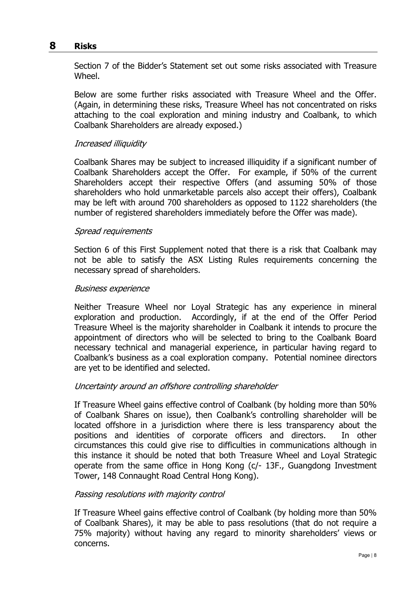#### **8 Risks**

Section 7 of the Bidder's Statement set out some risks associated with Treasure Wheel.

Below are some further risks associated with Treasure Wheel and the Offer. (Again, in determining these risks, Treasure Wheel has not concentrated on risks attaching to the coal exploration and mining industry and Coalbank, to which Coalbank Shareholders are already exposed.)

#### Increased illiquidity

Coalbank Shares may be subject to increased illiquidity if a significant number of Coalbank Shareholders accept the Offer. For example, if 50% of the current Shareholders accept their respective Offers (and assuming 50% of those shareholders who hold unmarketable parcels also accept their offers), Coalbank may be left with around 700 shareholders as opposed to 1122 shareholders (the number of registered shareholders immediately before the Offer was made).

#### Spread requirements

Section 6 of this First Supplement noted that there is a risk that Coalbank may not be able to satisfy the ASX Listing Rules requirements concerning the necessary spread of shareholders.

#### Business experience

Neither Treasure Wheel nor Loyal Strategic has any experience in mineral exploration and production. Accordingly, if at the end of the Offer Period Treasure Wheel is the majority shareholder in Coalbank it intends to procure the appointment of directors who will be selected to bring to the Coalbank Board necessary technical and managerial experience, in particular having regard to Coalbank's business as a coal exploration company. Potential nominee directors are yet to be identified and selected.

#### Uncertainty around an offshore controlling shareholder

If Treasure Wheel gains effective control of Coalbank (by holding more than 50% of Coalbank Shares on issue), then Coalbank's controlling shareholder will be located offshore in a jurisdiction where there is less transparency about the positions and identities of corporate officers and directors. In other circumstances this could give rise to difficulties in communications although in this instance it should be noted that both Treasure Wheel and Loyal Strategic operate from the same office in Hong Kong (c/- 13F., Guangdong Investment Tower, 148 Connaught Road Central Hong Kong).

#### Passing resolutions with majority control

If Treasure Wheel gains effective control of Coalbank (by holding more than 50% of Coalbank Shares), it may be able to pass resolutions (that do not require a 75% majority) without having any regard to minority shareholders' views or concerns.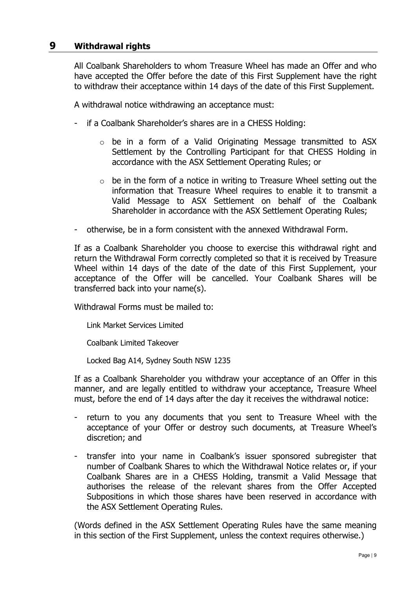#### **9 Withdrawal rights**

All Coalbank Shareholders to whom Treasure Wheel has made an Offer and who have accepted the Offer before the date of this First Supplement have the right to withdraw their acceptance within 14 days of the date of this First Supplement.

A withdrawal notice withdrawing an acceptance must:

- if a Coalbank Shareholder's shares are in a CHESS Holding:
	- o be in a form of a Valid Originating Message transmitted to ASX Settlement by the Controlling Participant for that CHESS Holding in accordance with the ASX Settlement Operating Rules; or
	- $\circ$  be in the form of a notice in writing to Treasure Wheel setting out the information that Treasure Wheel requires to enable it to transmit a Valid Message to ASX Settlement on behalf of the Coalbank Shareholder in accordance with the ASX Settlement Operating Rules;
- otherwise, be in a form consistent with the annexed Withdrawal Form.

If as a Coalbank Shareholder you choose to exercise this withdrawal right and return the Withdrawal Form correctly completed so that it is received by Treasure Wheel within 14 days of the date of the date of this First Supplement, your acceptance of the Offer will be cancelled. Your Coalbank Shares will be transferred back into your name(s).

Withdrawal Forms must be mailed to:

Link Market Services Limited

Coalbank Limited Takeover

Locked Bag A14, Sydney South NSW 1235

If as a Coalbank Shareholder you withdraw your acceptance of an Offer in this manner, and are legally entitled to withdraw your acceptance, Treasure Wheel must, before the end of 14 days after the day it receives the withdrawal notice:

- return to you any documents that you sent to Treasure Wheel with the acceptance of your Offer or destroy such documents, at Treasure Wheel's discretion; and
- transfer into your name in Coalbank's issuer sponsored subregister that number of Coalbank Shares to which the Withdrawal Notice relates or, if your Coalbank Shares are in a CHESS Holding, transmit a Valid Message that authorises the release of the relevant shares from the Offer Accepted Subpositions in which those shares have been reserved in accordance with the ASX Settlement Operating Rules.

(Words defined in the ASX Settlement Operating Rules have the same meaning in this section of the First Supplement, unless the context requires otherwise.)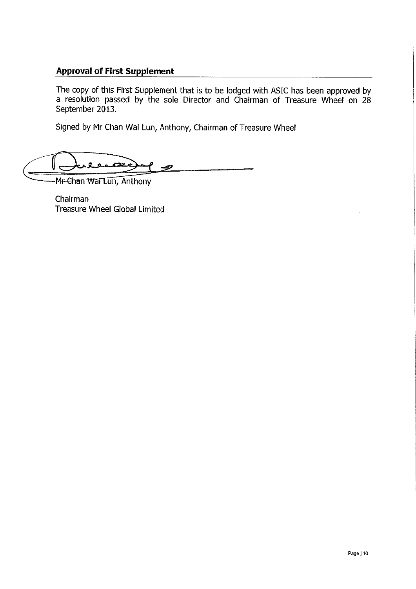### **Approval of First Supplement**

The copy of this First Supplement that is to be lodged with ASIC has been approved by a resolution passed by the sole Director and Chairman of Treasure Wheel on 28 September 2013.

Signed by Mr Chan Wai Lun, Anthony, Chairman of Treasure Wheel

V leace -97

Mr Chan Wai Lun, Anthony

Chairman **Treasure Wheel Global Limited**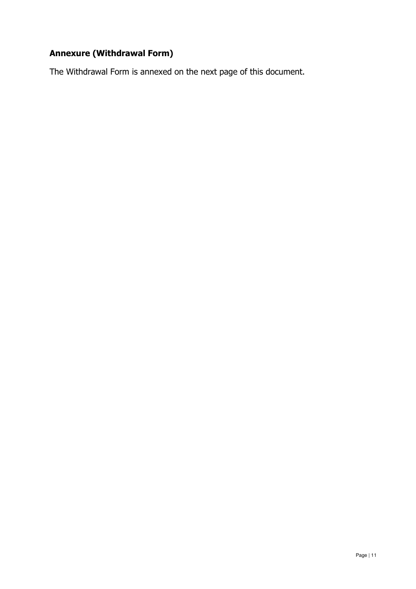# **Annexure (Withdrawal Form)**

The Withdrawal Form is annexed on the next page of this document.